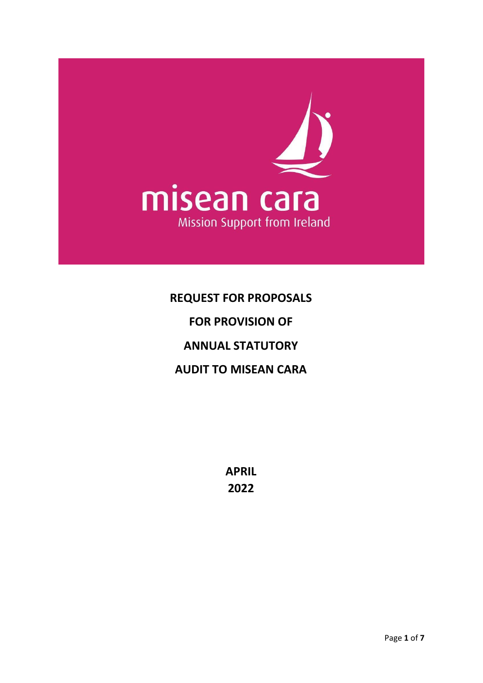

# **REQUEST FOR PROPOSALS FOR PROVISION OF ANNUAL STATUTORY AUDIT TO MISEAN CARA**

**APRIL 2022**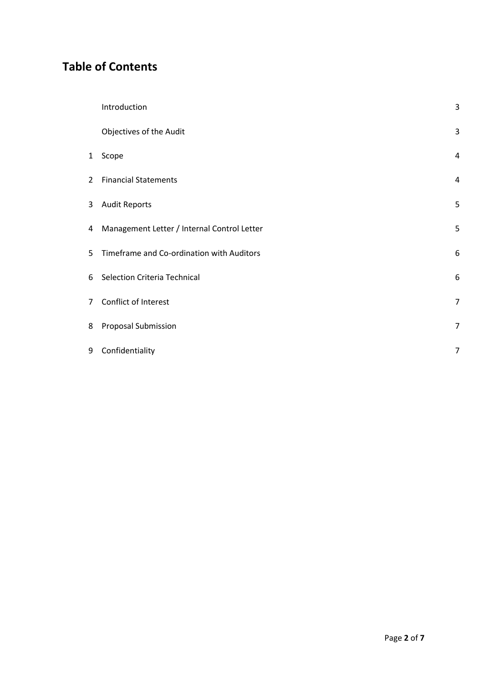## **Table of Contents**

|                | Introduction                                | 3              |
|----------------|---------------------------------------------|----------------|
|                | Objectives of the Audit                     | 3              |
| $\mathbf{1}$   | Scope                                       | $\overline{4}$ |
| $\overline{2}$ | <b>Financial Statements</b>                 | 4              |
| 3              | <b>Audit Reports</b>                        | 5              |
| 4              | Management Letter / Internal Control Letter | 5              |
| 5              | Timeframe and Co-ordination with Auditors   | 6              |
| 6              | Selection Criteria Technical                | 6              |
| $\overline{7}$ | Conflict of Interest                        | $\overline{7}$ |
| 8              | Proposal Submission                         | $\overline{7}$ |
| 9              | Confidentiality                             | $\overline{7}$ |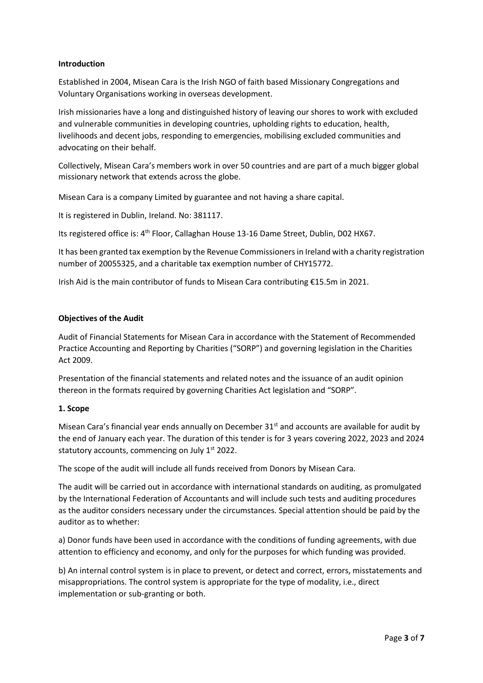#### **Introduction**

Established in 2004, Misean Cara is the Irish NGO of faith based Missionary Congregations and Voluntary Organisations working in overseas development.

Irish missionaries have a long and distinguished history of leaving our shores to work with excluded and vulnerable communities in developing countries, upholding rights to education, health, livelihoods and decent jobs, responding to emergencies, mobilising excluded communities and advocating on their behalf.

Collectively, Misean Cara's members work in over 50 countries and are part of a much bigger global missionary network that extends across the globe.

Misean Cara is a company Limited by guarantee and not having a share capital.

It is registered in Dublin, Ireland. No: 381117.

Its registered office is: 4<sup>th</sup> Floor, Callaghan House 13-16 Dame Street, Dublin, D02 HX67.

It has been granted tax exemption by the Revenue Commissioners in Ireland with a charity registration number of 20055325, and a charitable tax exemption number of CHY15772.

Irish Aid is the main contributor of funds to Misean Cara contributing €15.5m in 2021.

#### **Objectives of the Audit**

Audit of Financial Statements for Misean Cara in accordance with the Statement of Recommended Practice Accounting and Reporting by Charities ("SORP") and governing legislation in the Charities Act 2009.

Presentation of the financial statements and related notes and the issuance of an audit opinion thereon in the formats required by governing Charities Act legislation and "SORP".

#### **1. Scope**

Misean Cara's financial year ends annually on December  $31<sup>st</sup>$  and accounts are available for audit by the end of January each year. The duration of this tender is for 3 years covering 2022, 2023 and 2024 statutory accounts, commencing on July 1<sup>st</sup> 2022.

The scope of the audit will include all funds received from Donors by Misean Cara.

The audit will be carried out in accordance with international standards on auditing, as promulgated by the International Federation of Accountants and will include such tests and auditing procedures as the auditor considers necessary under the circumstances. Special attention should be paid by the auditor as to whether:

a) Donor funds have been used in accordance with the conditions of funding agreements, with due attention to efficiency and economy, and only for the purposes for which funding was provided.

b) An internal control system is in place to prevent, or detect and correct, errors, misstatements and misappropriations. The control system is appropriate for the type of modality, i.e., direct implementation or sub-granting or both.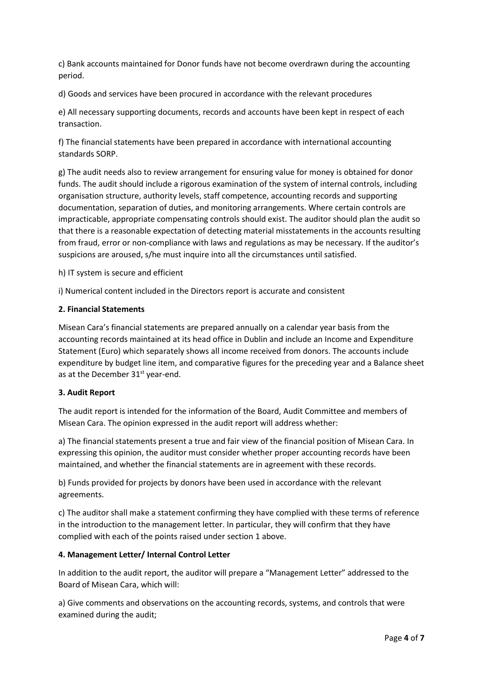c) Bank accounts maintained for Donor funds have not become overdrawn during the accounting period.

d) Goods and services have been procured in accordance with the relevant procedures

e) All necessary supporting documents, records and accounts have been kept in respect of each transaction.

f) The financial statements have been prepared in accordance with international accounting standards SORP.

g) The audit needs also to review arrangement for ensuring value for money is obtained for donor funds. The audit should include a rigorous examination of the system of internal controls, including organisation structure, authority levels, staff competence, accounting records and supporting documentation, separation of duties, and monitoring arrangements. Where certain controls are impracticable, appropriate compensating controls should exist. The auditor should plan the audit so that there is a reasonable expectation of detecting material misstatements in the accounts resulting from fraud, error or non-compliance with laws and regulations as may be necessary. If the auditor's suspicions are aroused, s/he must inquire into all the circumstances until satisfied.

h) IT system is secure and efficient

i) Numerical content included in the Directors report is accurate and consistent

#### **2. Financial Statements**

Misean Cara's financial statements are prepared annually on a calendar year basis from the accounting records maintained at its head office in Dublin and include an Income and Expenditure Statement (Euro) which separately shows all income received from donors. The accounts include expenditure by budget line item, and comparative figures for the preceding year and a Balance sheet as at the December 31<sup>st</sup> year-end.

#### **3. Audit Report**

The audit report is intended for the information of the Board, Audit Committee and members of Misean Cara. The opinion expressed in the audit report will address whether:

a) The financial statements present a true and fair view of the financial position of Misean Cara. In expressing this opinion, the auditor must consider whether proper accounting records have been maintained, and whether the financial statements are in agreement with these records.

b) Funds provided for projects by donors have been used in accordance with the relevant agreements.

c) The auditor shall make a statement confirming they have complied with these terms of reference in the introduction to the management letter. In particular, they will confirm that they have complied with each of the points raised under section 1 above.

#### **4. Management Letter/ Internal Control Letter**

In addition to the audit report, the auditor will prepare a "Management Letter" addressed to the Board of Misean Cara, which will:

a) Give comments and observations on the accounting records, systems, and controls that were examined during the audit;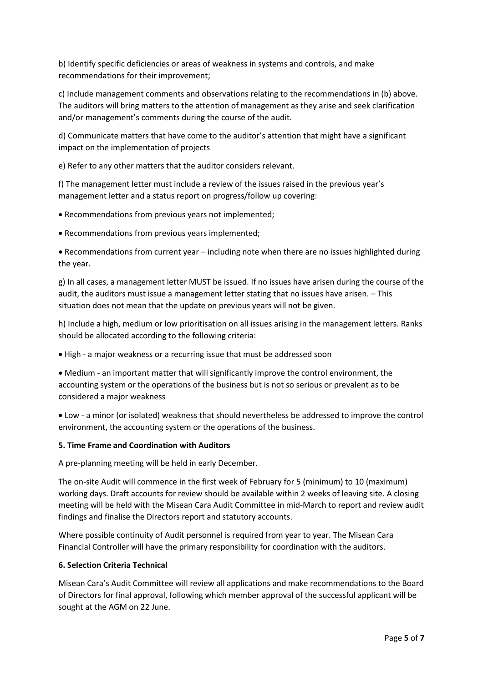b) Identify specific deficiencies or areas of weakness in systems and controls, and make recommendations for their improvement;

c) Include management comments and observations relating to the recommendations in (b) above. The auditors will bring matters to the attention of management as they arise and seek clarification and/or management's comments during the course of the audit.

d) Communicate matters that have come to the auditor's attention that might have a significant impact on the implementation of projects

e) Refer to any other matters that the auditor considers relevant.

f) The management letter must include a review of the issues raised in the previous year's management letter and a status report on progress/follow up covering:

• Recommendations from previous years not implemented;

• Recommendations from previous years implemented;

• Recommendations from current year – including note when there are no issues highlighted during the year.

g) In all cases, a management letter MUST be issued. If no issues have arisen during the course of the audit, the auditors must issue a management letter stating that no issues have arisen. – This situation does not mean that the update on previous years will not be given.

h) Include a high, medium or low prioritisation on all issues arising in the management letters. Ranks should be allocated according to the following criteria:

• High - a major weakness or a recurring issue that must be addressed soon

• Medium - an important matter that will significantly improve the control environment, the accounting system or the operations of the business but is not so serious or prevalent as to be considered a major weakness

• Low - a minor (or isolated) weakness that should nevertheless be addressed to improve the control environment, the accounting system or the operations of the business.

#### **5. Time Frame and Coordination with Auditors**

A pre-planning meeting will be held in early December.

The on-site Audit will commence in the first week of February for 5 (minimum) to 10 (maximum) working days. Draft accounts for review should be available within 2 weeks of leaving site. A closing meeting will be held with the Misean Cara Audit Committee in mid-March to report and review audit findings and finalise the Directors report and statutory accounts.

Where possible continuity of Audit personnel is required from year to year. The Misean Cara Financial Controller will have the primary responsibility for coordination with the auditors.

#### **6. Selection Criteria Technical**

Misean Cara's Audit Committee will review all applications and make recommendations to the Board of Directors for final approval, following which member approval of the successful applicant will be sought at the AGM on 22 June.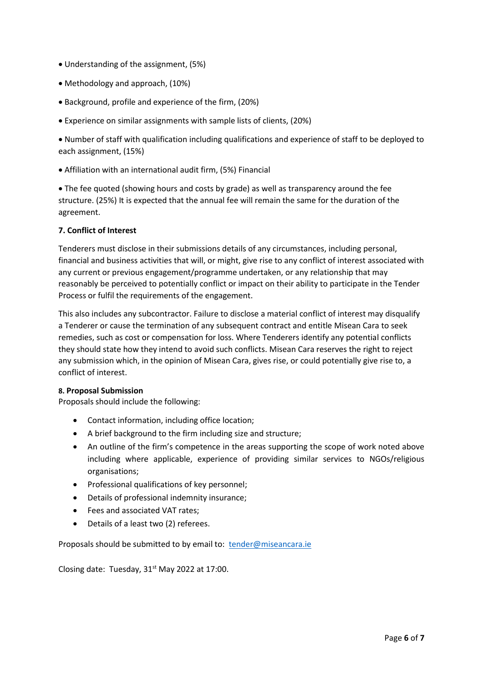- Understanding of the assignment, (5%)
- Methodology and approach, (10%)
- Background, profile and experience of the firm, (20%)
- Experience on similar assignments with sample lists of clients, (20%)

• Number of staff with qualification including qualifications and experience of staff to be deployed to each assignment, (15%)

• Affiliation with an international audit firm, (5%) Financial

• The fee quoted (showing hours and costs by grade) as well as transparency around the fee structure. (25%) It is expected that the annual fee will remain the same for the duration of the agreement.

#### **7. Conflict of Interest**

Tenderers must disclose in their submissions details of any circumstances, including personal, financial and business activities that will, or might, give rise to any conflict of interest associated with any current or previous engagement/programme undertaken, or any relationship that may reasonably be perceived to potentially conflict or impact on their ability to participate in the Tender Process or fulfil the requirements of the engagement.

This also includes any subcontractor. Failure to disclose a material conflict of interest may disqualify a Tenderer or cause the termination of any subsequent contract and entitle Misean Cara to seek remedies, such as cost or compensation for loss. Where Tenderers identify any potential conflicts they should state how they intend to avoid such conflicts. Misean Cara reserves the right to reject any submission which, in the opinion of Misean Cara, gives rise, or could potentially give rise to, a conflict of interest.

#### **8. Proposal Submission**

Proposals should include the following:

- Contact information, including office location;
- A brief background to the firm including size and structure;
- An outline of the firm's competence in the areas supporting the scope of work noted above including where applicable, experience of providing similar services to NGOs/religious organisations;
- Professional qualifications of key personnel;
- Details of professional indemnity insurance;
- Fees and associated VAT rates;
- Details of a least two (2) referees.

Proposals should be submitted to by email to: [tender@miseancara.ie](mailto:tender@miseancara.ie)

Closing date: Tuesday,  $31<sup>st</sup>$  May 2022 at 17:00.